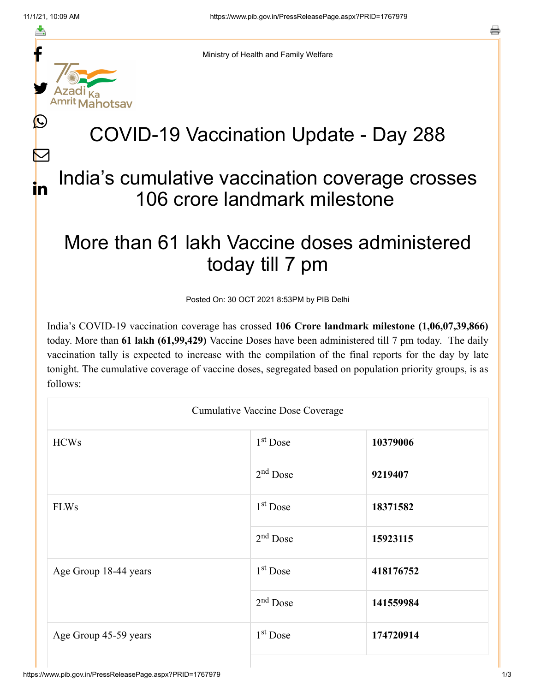f

≛

y.

ahotsay

Ŀ

 $\bm{\nabla}$ 

in



# COVID-19 Vaccination Update - Day 288

### India's cumulative vaccination coverage crosses 106 crore landmark milestone

## More than 61 lakh Vaccine doses administered today till 7 pm

Posted On: 30 OCT 2021 8:53PM by PIB Delhi

India's COVID-19 vaccination coverage has crossed **106 Crore landmark milestone (1,06,07,39,866)** today. More than **61 lakh (61,99,429)** Vaccine Doses have been administered till 7 pm today. The daily vaccination tally is expected to increase with the compilation of the final reports for the day by late tonight. The cumulative coverage of vaccine doses, segregated based on population priority groups, is as follows:

| <b>Cumulative Vaccine Dose Coverage</b> |                      |           |  |
|-----------------------------------------|----------------------|-----------|--|
| <b>HCWs</b>                             | 1 <sup>st</sup> Dose | 10379006  |  |
|                                         | $2nd$ Dose           | 9219407   |  |
| <b>FLWs</b>                             | 1 <sup>st</sup> Dose | 18371582  |  |
|                                         | $2nd$ Dose           | 15923115  |  |
| Age Group 18-44 years                   | 1 <sup>st</sup> Dose | 418176752 |  |
|                                         | $2nd$ Dose           | 141559984 |  |
| Age Group 45-59 years                   | $1st$ Dose           | 174720914 |  |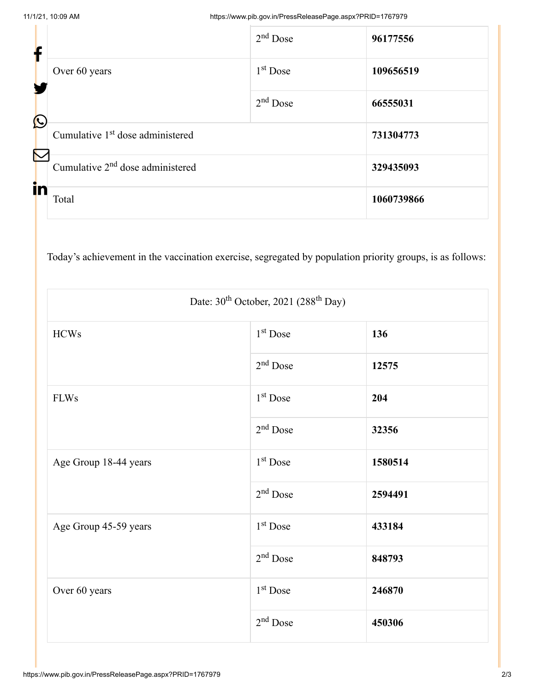| f            |                                              | $2nd$ Dose | 96177556   |
|--------------|----------------------------------------------|------------|------------|
|              | Over 60 years                                | $1st$ Dose | 109656519  |
| $\bigcirc$   |                                              | $2nd$ Dose | 66555031   |
| $\bf \nabla$ | Cumulative 1 <sup>st</sup> dose administered |            | 731304773  |
| in           | Cumulative 2 <sup>nd</sup> dose administered |            | 329435093  |
|              | Total                                        |            | 1060739866 |

Today's achievement in the vaccination exercise, segregated by population priority groups, is as follows:

| Date: 30 <sup>th</sup> October, 2021 (288 <sup>th</sup> Day) |                      |         |  |
|--------------------------------------------------------------|----------------------|---------|--|
| <b>HCWs</b>                                                  | 1 <sup>st</sup> Dose | 136     |  |
|                                                              | $2nd$ Dose           | 12575   |  |
| <b>FLWs</b>                                                  | 1 <sup>st</sup> Dose | 204     |  |
|                                                              | $2nd$ Dose           | 32356   |  |
| Age Group 18-44 years                                        | 1 <sup>st</sup> Dose | 1580514 |  |
|                                                              | $2nd$ Dose           | 2594491 |  |
| Age Group 45-59 years                                        | $1st$ Dose           | 433184  |  |
|                                                              | $2nd$ Dose           | 848793  |  |
| Over 60 years                                                | $1st$ Dose           | 246870  |  |
|                                                              | $2nd$ Dose           | 450306  |  |